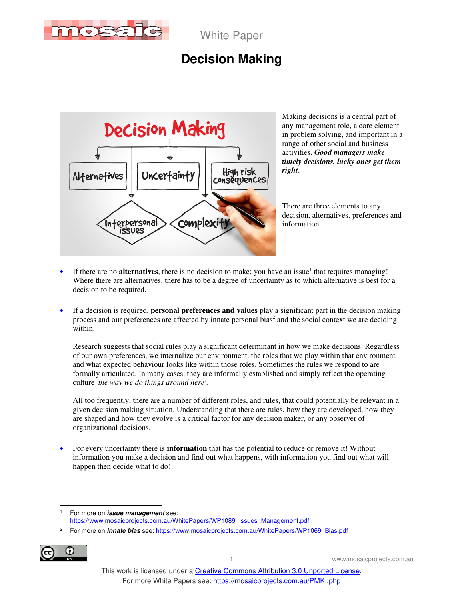

## **Decision Making**



Making decisions is a central part of any management role, a core element in problem solving, and important in a range of other social and business activities. *Good managers make timely decisions, lucky ones get them right*.

There are three elements to any decision, alternatives, preferences and information.

- If there are no **alternatives**, there is no decision to make; you have an issue<sup>1</sup> that requires managing! Where there are alternatives, there has to be a degree of uncertainty as to which alternative is best for a decision to be required.
- If a decision is required, **personal preferences and values** play a significant part in the decision making process and our preferences are affected by innate personal bias<sup>2</sup> and the social context we are deciding within.

Research suggests that social rules play a significant determinant in how we make decisions. Regardless of our own preferences, we internalize our environment, the roles that we play within that environment and what expected behaviour looks like within those roles. Sometimes the rules we respond to are formally articulated. In many cases, they are informally established and simply reflect the operating culture *'the way we do things around here'*.

All too frequently, there are a number of different roles, and rules, that could potentially be relevant in a given decision making situation. Understanding that there are rules, how they are developed, how they are shaped and how they evolve is a critical factor for any decision maker, or any observer of organizational decisions.

• For every uncertainty there is **information** that has the potential to reduce or remove it! Without information you make a decision and find out what happens, with information you find out what will happen then decide what to do!

<sup>2</sup> For more on **innate bias** see: https://www.mosaicprojects.com.au/WhitePapers/WP1069\_Bias.pdf



<sup>1</sup> For more on **issue management** see: https://www.mosaicprojects.com.au/WhitePapers/WP1089\_Issues\_Management.pdf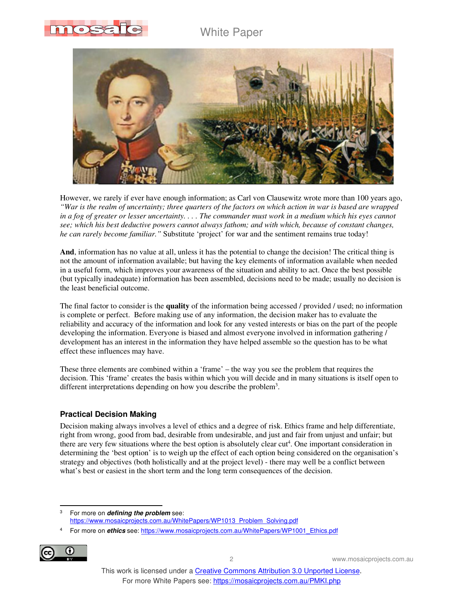



However, we rarely if ever have enough information; as Carl von Clausewitz wrote more than 100 years ago, *"War is the realm of uncertainty; three quarters of the factors on which action in war is based are wrapped in a fog of greater or lesser uncertainty. . . . The commander must work in a medium which his eyes cannot see; which his best deductive powers cannot always fathom; and with which, because of constant changes, he can rarely become familiar."* Substitute 'project' for war and the sentiment remains true today!

**And**, information has no value at all, unless it has the potential to change the decision! The critical thing is not the amount of information available; but having the key elements of information available when needed in a useful form, which improves your awareness of the situation and ability to act. Once the best possible (but typically inadequate) information has been assembled, decisions need to be made; usually no decision is the least beneficial outcome.

The final factor to consider is the **quality** of the information being accessed / provided / used; no information is complete or perfect. Before making use of any information, the decision maker has to evaluate the reliability and accuracy of the information and look for any vested interests or bias on the part of the people developing the information. Everyone is biased and almost everyone involved in information gathering / development has an interest in the information they have helped assemble so the question has to be what effect these influences may have.

These three elements are combined within a 'frame' – the way you see the problem that requires the decision. This 'frame' creates the basis within which you will decide and in many situations is itself open to different interpretations depending on how you describe the problem<sup>3</sup>.

### **Practical Decision Making**

Decision making always involves a level of ethics and a degree of risk. Ethics frame and help differentiate, right from wrong, good from bad, desirable from undesirable, and just and fair from unjust and unfair; but there are very few situations where the best option is absolutely clear cut<sup>4</sup>. One important consideration in determining the 'best option' is to weigh up the effect of each option being considered on the organisation's strategy and objectives (both holistically and at the project level) - there may well be a conflict between what's best or easiest in the short term and the long term consequences of the decision.

<sup>4</sup> For more on **ethics** see: https://www.mosaicprojects.com.au/WhitePapers/WP1001\_Ethics.pdf



<sup>3</sup> For more on **defining the problem** see: https://www.mosaicprojects.com.au/WhitePapers/WP1013\_Problem\_Solving.pdf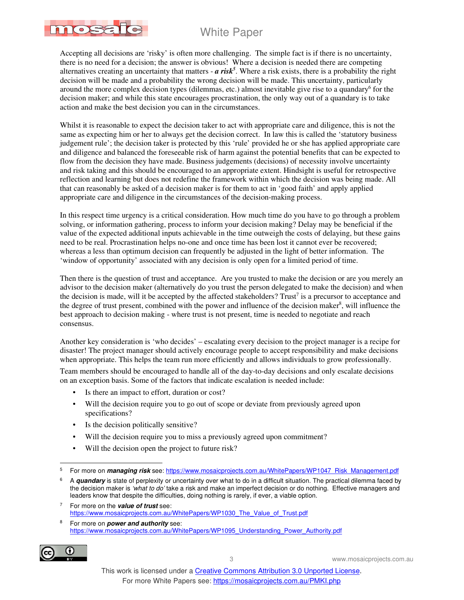mosato

Accepting all decisions are 'risky' is often more challenging. The simple fact is if there is no uncertainty, there is no need for a decision; the answer is obvious! Where a decision is needed there are competing alternatives creating an uncertainty that matters  $-a$  risk<sup>5</sup>. Where a risk exists, there is a probability the right decision will be made and a probability the wrong decision will be made. This uncertainty, particularly around the more complex decision types (dilemmas, etc.) almost inevitable give rise to a quandary<sup>6</sup> for the decision maker; and while this state encourages procrastination, the only way out of a quandary is to take action and make the best decision you can in the circumstances.

Whilst it is reasonable to expect the decision taker to act with appropriate care and diligence, this is not the same as expecting him or her to always get the decision correct. In law this is called the 'statutory business judgement rule'; the decision taker is protected by this 'rule' provided he or she has applied appropriate care and diligence and balanced the foreseeable risk of harm against the potential benefits that can be expected to flow from the decision they have made. Business judgements (decisions) of necessity involve uncertainty and risk taking and this should be encouraged to an appropriate extent. Hindsight is useful for retrospective reflection and learning but does not redefine the framework within which the decision was being made. All that can reasonably be asked of a decision maker is for them to act in 'good faith' and apply applied appropriate care and diligence in the circumstances of the decision-making process.

In this respect time urgency is a critical consideration. How much time do you have to go through a problem solving, or information gathering, process to inform your decision making? Delay may be beneficial if the value of the expected additional inputs achievable in the time outweigh the costs of delaying, but these gains need to be real. Procrastination helps no-one and once time has been lost it cannot ever be recovered; whereas a less than optimum decision can frequently be adjusted in the light of better information. The 'window of opportunity' associated with any decision is only open for a limited period of time.

Then there is the question of trust and acceptance. Are you trusted to make the decision or are you merely an advisor to the decision maker (alternatively do you trust the person delegated to make the decision) and when the decision is made, will it be accepted by the affected stakeholders? Trust<sup>7</sup> is a precursor to acceptance and the degree of trust present, combined with the power and influence of the decision maker<sup>8</sup>, will influence the best approach to decision making - where trust is not present, time is needed to negotiate and reach consensus.

Another key consideration is 'who decides' – escalating every decision to the project manager is a recipe for disaster! The project manager should actively encourage people to accept responsibility and make decisions when appropriate. This helps the team run more efficiently and allows individuals to grow professionally.

Team members should be encouraged to handle all of the day-to-day decisions and only escalate decisions on an exception basis. Some of the factors that indicate escalation is needed include:

- Is there an impact to effort, duration or cost?
- Will the decision require you to go out of scope or deviate from previously agreed upon specifications?
- Is the decision politically sensitive?
- Will the decision require you to miss a previously agreed upon commitment?
- Will the decision open the project to future risk?

<sup>8</sup> For more on **power and authority** see: https://www.mosaicprojects.com.au/WhitePapers/WP1095\_Understanding\_Power\_Authority.pdf



<sup>5</sup> For more on **managing risk** see: https://www.mosaicprojects.com.au/WhitePapers/WP1047\_Risk\_Management.pdf

<sup>6</sup> A **quandary** is state of perplexity or uncertainty over what to do in a difficult situation. The practical dilemma faced by the decision maker is 'what to do' take a risk and make an imperfect decision or do nothing. Effective managers and leaders know that despite the difficulties, doing nothing is rarely, if ever, a viable option.

<sup>7</sup> For more on the **value of trust** see: https://www.mosaicprojects.com.au/WhitePapers/WP1030\_The\_Value\_of\_Trust.pdf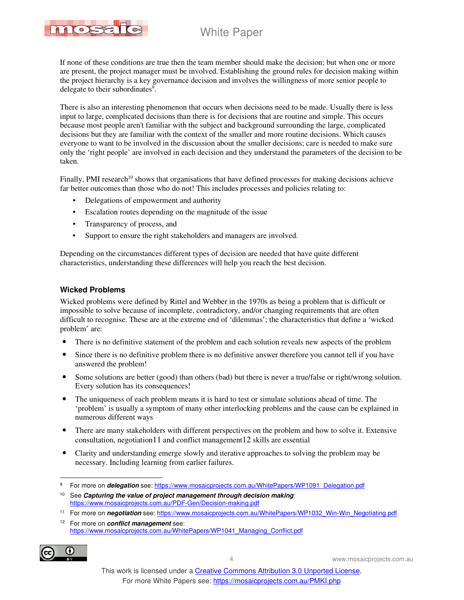

If none of these conditions are true then the team member should make the decision; but when one or more are present, the project manager must be involved. Establishing the ground rules for decision making within the project hierarchy is a key governance decision and involves the willingness of more senior people to delegate to their subordinates<sup>9</sup>.

There is also an interesting phenomenon that occurs when decisions need to be made. Usually there is less input to large, complicated decisions than there is for decisions that are routine and simple. This occurs because most people aren't familiar with the subject and background surrounding the large, complicated decisions but they are familiar with the context of the smaller and more routine decisions. Which causes everyone to want to be involved in the discussion about the smaller decisions; care is needed to make sure only the 'right people' are involved in each decision and they understand the parameters of the decision to be taken.

Finally, PMI research<sup>10</sup> shows that organisations that have defined processes for making decisions achieve far better outcomes than those who do not! This includes processes and policies relating to:

- Delegations of empowerment and authority
- Escalation routes depending on the magnitude of the issue
- Transparency of process, and
- Support to ensure the right stakeholders and managers are involved.

Depending on the circumstances different types of decision are needed that have quite different characteristics, understanding these differences will help you reach the best decision.

### **Wicked Problems**

Wicked problems were defined by Rittel and Webber in the 1970s as being a problem that is difficult or impossible to solve because of incomplete, contradictory, and/or changing requirements that are often difficult to recognise. These are at the extreme end of 'dilemmas'; the characteristics that define a 'wicked problem' are:

- There is no definitive statement of the problem and each solution reveals new aspects of the problem
- Since there is no definitive problem there is no definitive answer therefore you cannot tell if you have answered the problem!
- Some solutions are better (good) than others (bad) but there is never a true/false or right/wrong solution. Every solution has its consequences!
- The uniqueness of each problem means it is hard to test or simulate solutions ahead of time. The 'problem' is usually a symptom of many other interlocking problems and the cause can be explained in numerous different ways
- There are many stakeholders with different perspectives on the problem and how to solve it. Extensive consultation, negotiation11 and conflict management12 skills are essential
- Clarity and understanding emerge slowly and iterative approaches to solving the problem may be necessary. Including learning from earlier failures.

<sup>12</sup> For more on **conflict management** see: https://www.mosaicprojects.com.au/WhitePapers/WP1041\_Managing\_Conflict.pdf



<sup>9</sup> For more on **delegation** see: https://www.mosaicprojects.com.au/WhitePapers/WP1091\_Delegation.pdf

<sup>10</sup> See **Capturing the value of project management through decision making**: https://www.mosaicprojects.com.au/PDF-Gen/Decision-making.pdf

<sup>11</sup> For more on **negotiation** see: https://www.mosaicprojects.com.au/WhitePapers/WP1032\_Win-Win\_Negotiating.pdf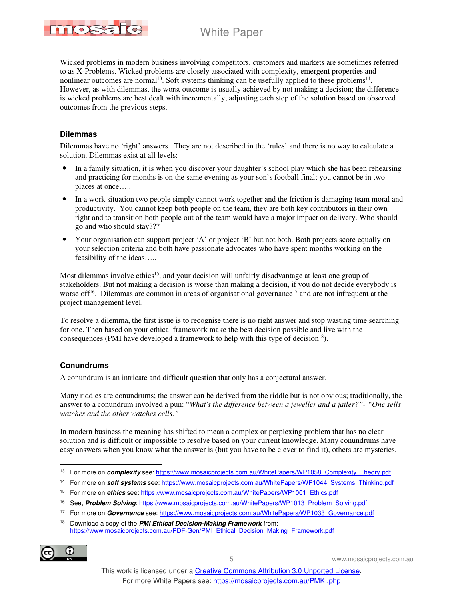

Wicked problems in modern business involving competitors, customers and markets are sometimes referred to as X-Problems. Wicked problems are closely associated with complexity, emergent properties and nonlinear outcomes are normal<sup>13</sup>. Soft systems thinking can be usefully applied to these problems<sup>14</sup>. However, as with dilemmas, the worst outcome is usually achieved by not making a decision; the difference is wicked problems are best dealt with incrementally, adjusting each step of the solution based on observed outcomes from the previous steps.

#### **Dilemmas**

Dilemmas have no 'right' answers. They are not described in the 'rules' and there is no way to calculate a solution. Dilemmas exist at all levels:

- In a family situation, it is when you discover your daughter's school play which she has been rehearsing and practicing for months is on the same evening as your son's football final; you cannot be in two places at once…..
- In a work situation two people simply cannot work together and the friction is damaging team moral and productivity. You cannot keep both people on the team, they are both key contributors in their own right and to transition both people out of the team would have a major impact on delivery. Who should go and who should stay???
- Your organisation can support project 'A' or project 'B' but not both. Both projects score equally on your selection criteria and both have passionate advocates who have spent months working on the feasibility of the ideas…..

Most dilemmas involve ethics<sup>15</sup>, and your decision will unfairly disadvantage at least one group of stakeholders. But not making a decision is worse than making a decision, if you do not decide everybody is worse of  $f^{16}$ . Dilemmas are common in areas of organisational governance<sup>17</sup> and are not infrequent at the project management level.

To resolve a dilemma, the first issue is to recognise there is no right answer and stop wasting time searching for one. Then based on your ethical framework make the best decision possible and live with the consequences (PMI have developed a framework to help with this type of decision<sup>18</sup>).

#### **Conundrums**

A conundrum is an intricate and difficult question that only has a conjectural answer.

Many riddles are conundrums; the answer can be derived from the riddle but is not obvious; traditionally, the answer to a conundrum involved a pun: "*What's the difference between a jeweller and a jailer?"- "One sells watches and the other watches cells."*

In modern business the meaning has shifted to mean a complex or perplexing problem that has no clear solution and is difficult or impossible to resolve based on your current knowledge. Many conundrums have easy answers when you know what the answer is (but you have to be clever to find it), others are mysteries,

<sup>14</sup> For more on **soft systems** see: https://www.mosaicprojects.com.au/WhitePapers/WP1044\_Systems\_Thinking.pdf

<sup>16</sup> See, **Problem Solving**: https://www.mosaicprojects.com.au/WhitePapers/WP1013\_Problem\_Solving.pdf

<sup>18</sup> Download a copy of the **PMI Ethical Decision-Making Framework** from: https://www.mosaicprojects.com.au/PDF-Gen/PMI\_Ethical\_Decision\_Making\_Framework.pdf



<sup>13</sup> For more on **complexity** see: https://www.mosaicprojects.com.au/WhitePapers/WP1058\_Complexity\_Theory.pdf

<sup>&</sup>lt;sup>15</sup> For more on *ethics* see: https://www.mosaicprojects.com.au/WhitePapers/WP1001\_Ethics.pdf

<sup>17</sup> For more on **Governance** see: https://www.mosaicprojects.com.au/WhitePapers/WP1033\_Governance.pdf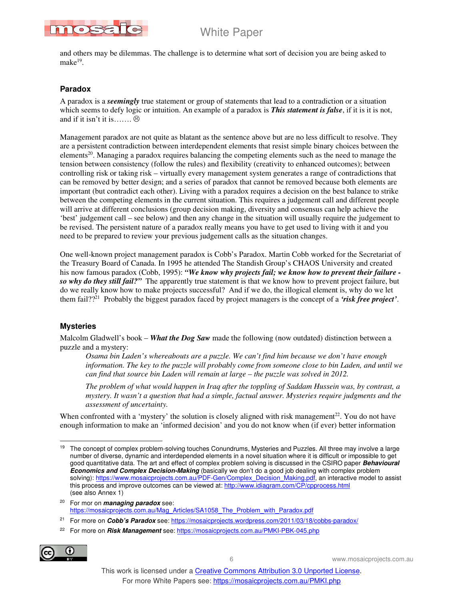

and others may be dilemmas. The challenge is to determine what sort of decision you are being asked to make<sup>19</sup>.

### **Paradox**

A paradox is a *seemingly* true statement or group of statements that lead to a contradiction or a situation which seems to defy logic or intuition. An example of a paradox is *This statement is false*, if it is it is not, and if it isn't it is……. $\otimes$ 

Management paradox are not quite as blatant as the sentence above but are no less difficult to resolve. They are a persistent contradiction between interdependent elements that resist simple binary choices between the elements<sup>20</sup>. Managing a paradox requires balancing the competing elements such as the need to manage the tension between consistency (follow the rules) and flexibility (creativity to enhanced outcomes); between controlling risk or taking risk – virtually every management system generates a range of contradictions that can be removed by better design; and a series of paradox that cannot be removed because both elements are important (but contradict each other). Living with a paradox requires a decision on the best balance to strike between the competing elements in the current situation. This requires a judgement call and different people will arrive at different conclusions (group decision making, diversity and consensus can help achieve the 'best' judgement call – see below) and then any change in the situation will usually require the judgement to be revised. The persistent nature of a paradox really means you have to get used to living with it and you need to be prepared to review your previous judgement calls as the situation changes.

One well-known project management paradox is Cobb's Paradox. Martin Cobb worked for the Secretariat of the Treasury Board of Canada. In 1995 he attended The Standish Group's CHAOS University and created his now famous paradox (Cobb, 1995): *"We know why projects fail; we know how to prevent their failure so why do they still fail?"* The apparently true statement is that we know how to prevent project failure, but do we really know how to make projects successful? And if we do, the illogical element is, why do we let them fail??<sup>21</sup> Probably the biggest paradox faced by project managers is the concept of a *'risk free project'*.

#### **Mysteries**

Malcolm Gladwell's book – *What the Dog Saw* made the following (now outdated) distinction between a puzzle and a mystery:

*Osama bin Laden's whereabouts are a puzzle. We can't find him because we don't have enough information. The key to the puzzle will probably come from someone close to bin Laden, and until we can find that source bin Laden will remain at large – the puzzle was solved in 2012.* 

*The problem of what would happen in Iraq after the toppling of Saddam Hussein was, by contrast, a mystery. It wasn't a question that had a simple, factual answer. Mysteries require judgments and the assessment of uncertainty.* 

When confronted with a 'mystery' the solution is closely aligned with risk management $^{22}$ . You do not have enough information to make an 'informed decision' and you do not know when (if ever) better information

22 For more on **Risk Management** see: https://mosaicprojects.com.au/PMKI-PBK-045.php



<sup>19</sup> The concept of complex problem-solving touches Conundrums, Mysteries and Puzzles. All three may involve a large number of diverse, dynamic and interdepended elements in a novel situation where it is difficult or impossible to get good quantitative data. The art and effect of complex problem solving is discussed in the CSIRO paper **Behavioural Economics and Complex Decision-Making** (basically we don't do a good job dealing with complex problem solving): https://www.mosaicprojects.com.au/PDF-Gen/Complex\_Decision\_Making.pdf, an interactive model to assist this process and improve outcomes can be viewed at: http://www.idiagram.com/CP/cpprocess.html (see also Annex 1)

<sup>20</sup> For mor on **managing paradox** see: https://mosaicprojects.com.au/Mag\_Articles/SA1058\_The\_Problem\_with\_Paradox.pdf

<sup>&</sup>lt;sup>21</sup> For more on **Cobb's Paradox** see: https://mosaicprojects.wordpress.com/2011/03/18/cobbs-paradox/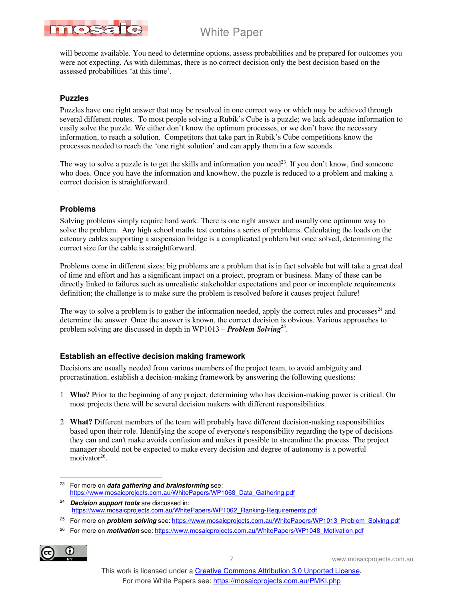

will become available. You need to determine options, assess probabilities and be prepared for outcomes you were not expecting. As with dilemmas, there is no correct decision only the best decision based on the assessed probabilities 'at this time'.

### **Puzzles**

Puzzles have one right answer that may be resolved in one correct way or which may be achieved through several different routes. To most people solving a Rubik's Cube is a puzzle; we lack adequate information to easily solve the puzzle. We either don't know the optimum processes, or we don't have the necessary information, to reach a solution. Competitors that take part in Rubik's Cube competitions know the processes needed to reach the 'one right solution' and can apply them in a few seconds.

The way to solve a puzzle is to get the skills and information you need<sup>23</sup>. If you don't know, find someone who does. Once you have the information and knowhow, the puzzle is reduced to a problem and making a correct decision is straightforward.

### **Problems**

Solving problems simply require hard work. There is one right answer and usually one optimum way to solve the problem. Any high school maths test contains a series of problems. Calculating the loads on the catenary cables supporting a suspension bridge is a complicated problem but once solved, determining the correct size for the cable is straightforward.

Problems come in different sizes; big problems are a problem that is in fact solvable but will take a great deal of time and effort and has a significant impact on a project, program or business. Many of these can be directly linked to failures such as unrealistic stakeholder expectations and poor or incomplete requirements definition; the challenge is to make sure the problem is resolved before it causes project failure!

The way to solve a problem is to gather the information needed, apply the correct rules and processes $^{24}$  and determine the answer. Once the answer is known, the correct decision is obvious. Various approaches to problem solving are discussed in depth in WP1013 – *Problem Solving<sup>25</sup>* .

### **Establish an effective decision making framework**

Decisions are usually needed from various members of the project team, to avoid ambiguity and procrastination, establish a decision-making framework by answering the following questions:

- 1 **Who?** Prior to the beginning of any project, determining who has decision-making power is critical. On most projects there will be several decision makers with different responsibilities.
- 2 **What?** Different members of the team will probably have different decision-making responsibilities based upon their role. Identifying the scope of everyone's responsibility regarding the type of decisions they can and can't make avoids confusion and makes it possible to streamline the process. The project manager should not be expected to make every decision and degree of autonomy is a powerful motivator<sup>26</sup>.
- <sup>23</sup> For more on **data gathering and brainstorming** see: https://www.mosaicprojects.com.au/WhitePapers/WP1068\_Data\_Gathering.pdf
- 24 **Decision support tools** are discussed in: https://www.mosaicprojects.com.au/WhitePapers/WP1062\_Ranking-Requirements.pdf
- <sup>25</sup> For more on **problem solving** see: https://www.mosaicprojects.com.au/WhitePapers/WP1013\_Problem\_Solving.pdf
- 26 For more on **motivation** see: https://www.mosaicprojects.com.au/WhitePapers/WP1048\_Motivation.pdf

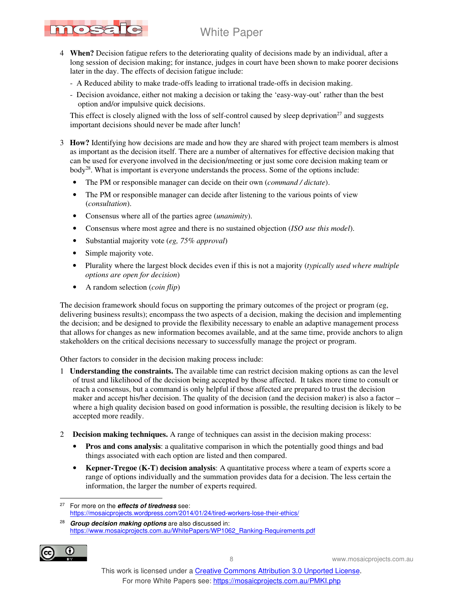- nosa
	- 4 **When?** Decision fatigue refers to the deteriorating quality of decisions made by an individual, after a long session of decision making; for instance, judges in court have been shown to make poorer decisions later in the day. The effects of decision fatigue include:
		- A Reduced ability to make trade-offs leading to irrational trade-offs in decision making.
		- Decision avoidance, either not making a decision or taking the 'easy-way-out' rather than the best option and/or impulsive quick decisions.

This effect is closely aligned with the loss of self-control caused by sleep deprivation<sup>27</sup> and suggests important decisions should never be made after lunch!

- 3 **How?** Identifying how decisions are made and how they are shared with project team members is almost as important as the decision itself. There are a number of alternatives for effective decision making that can be used for everyone involved in the decision/meeting or just some core decision making team or body<sup>28</sup>. What is important is everyone understands the process. Some of the options include:
	- The PM or responsible manager can decide on their own (*command / dictate*).
	- The PM or responsible manager can decide after listening to the various points of view (*consultation*).
	- Consensus where all of the parties agree (*unanimity*).
	- Consensus where most agree and there is no sustained objection (*ISO use this model*).
	- Substantial majority vote (*eg, 75% approval*)
	- Simple majority vote.
	- Plurality where the largest block decides even if this is not a majority (*typically used where multiple options are open for decision*)
	- A random selection (*coin flip*)

The decision framework should focus on supporting the primary outcomes of the project or program (eg, delivering business results); encompass the two aspects of a decision, making the decision and implementing the decision; and be designed to provide the flexibility necessary to enable an adaptive management process that allows for changes as new information becomes available, and at the same time, provide anchors to align stakeholders on the critical decisions necessary to successfully manage the project or program.

Other factors to consider in the decision making process include:

- 1 **Understanding the constraints.** The available time can restrict decision making options as can the level of trust and likelihood of the decision being accepted by those affected. It takes more time to consult or reach a consensus, but a command is only helpful if those affected are prepared to trust the decision maker and accept his/her decision. The quality of the decision (and the decision maker) is also a factor – where a high quality decision based on good information is possible, the resulting decision is likely to be accepted more readily.
- 2 **Decision making techniques.** A range of techniques can assist in the decision making process:
	- **Pros and cons analysis**: a qualitative comparison in which the potentially good things and bad things associated with each option are listed and then compared.
	- **Kepner-Tregoe (K-T) decision analysis**: A quantitative process where a team of experts score a range of options individually and the summation provides data for a decision. The less certain the information, the larger the number of experts required.

<sup>28</sup> **Group decision making options** are also discussed in: https://www.mosaicprojects.com.au/WhitePapers/WP1062\_Ranking-Requirements.pdf



<sup>27</sup> For more on the **effects of tiredness** see: https://mosaicprojects.wordpress.com/2014/01/24/tired-workers-lose-their-ethics/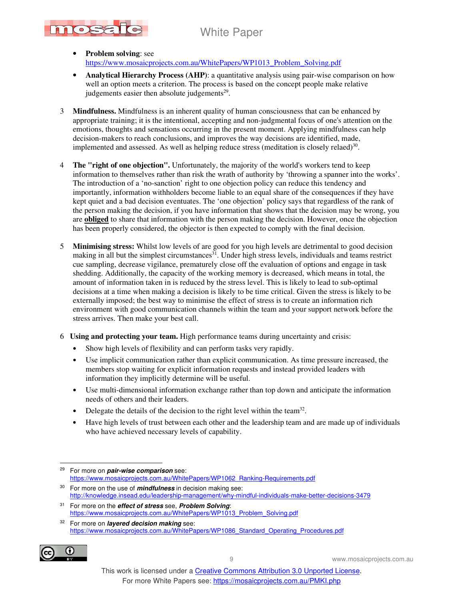

- **Problem solving**: see https://www.mosaicprojects.com.au/WhitePapers/WP1013\_Problem\_Solving.pdf
- **Analytical Hierarchy Process (AHP)**: a quantitative analysis using pair-wise comparison on how well an option meets a criterion. The process is based on the concept people make relative judgements easier then absolute judgements $2^9$ .
- 3 **Mindfulness.** Mindfulness is an inherent quality of human consciousness that can be enhanced by appropriate training; it is the intentional, accepting and non-judgmental focus of one's attention on the emotions, thoughts and sensations occurring in the present moment. Applying mindfulness can help decision-makers to reach conclusions, and improves the way decisions are identified, made, implemented and assessed. As well as helping reduce stress (meditation is closely relaed) $30$ .
- 4 **The "right of one objection".** Unfortunately, the majority of the world's workers tend to keep information to themselves rather than risk the wrath of authority by 'throwing a spanner into the works'. The introduction of a 'no-sanction' right to one objection policy can reduce this tendency and importantly, information withholders become liable to an equal share of the consequences if they have kept quiet and a bad decision eventuates. The 'one objection' policy says that regardless of the rank of the person making the decision, if you have information that shows that the decision may be wrong, you are **obliged** to share that information with the person making the decision. However, once the objection has been properly considered, the objector is then expected to comply with the final decision.
- 5 **Minimising stress:** Whilst low levels of are good for you high levels are detrimental to good decision making in all but the simplest circumstances $3<sup>1</sup>$ . Under high stress levels, individuals and teams restrict cue sampling, decrease vigilance, prematurely close off the evaluation of options and engage in task shedding. Additionally, the capacity of the working memory is decreased, which means in total, the amount of information taken in is reduced by the stress level. This is likely to lead to sub-optimal decisions at a time when making a decision is likely to be time critical. Given the stress is likely to be externally imposed; the best way to minimise the effect of stress is to create an information rich environment with good communication channels within the team and your support network before the stress arrives. Then make your best call.
- 6 **Using and protecting your team.** High performance teams during uncertainty and crisis:
	- Show high levels of flexibility and can perform tasks very rapidly.
	- Use implicit communication rather than explicit communication. As time pressure increased, the members stop waiting for explicit information requests and instead provided leaders with information they implicitly determine will be useful.
	- Use multi-dimensional information exchange rather than top down and anticipate the information needs of others and their leaders.
	- Delegate the details of the decision to the right level within the team<sup>32</sup>.
	- Have high levels of trust between each other and the leadership team and are made up of individuals who have achieved necessary levels of capability.

- <sup>30</sup> For more on the use of **mindfulness** in decision making see: http://knowledge.insead.edu/leadership-management/why-mindful-individuals-make-better-decisions-3479
- <sup>31</sup> For more on the **effect of stress** see, **Problem Solving**: https://www.mosaicprojects.com.au/WhitePapers/WP1013\_Problem\_Solving.pdf

<sup>32</sup> For more on **layered decision making** see: https://www.mosaicprojects.com.au/WhitePapers/WP1086\_Standard\_Operating\_Procedures.pdf



<sup>29</sup> For more on **pair-wise comparison** see: https://www.mosaicprojects.com.au/WhitePapers/WP1062\_Ranking-Requirements.pdf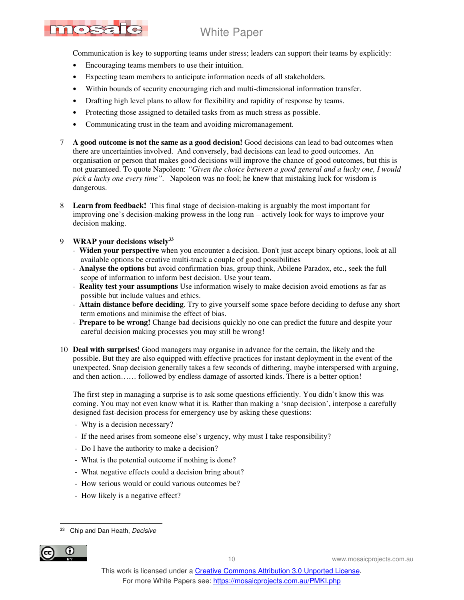# MOSE

## White Paper

Communication is key to supporting teams under stress; leaders can support their teams by explicitly:

- Encouraging teams members to use their intuition.
- Expecting team members to anticipate information needs of all stakeholders.
- Within bounds of security encouraging rich and multi-dimensional information transfer.
- Drafting high level plans to allow for flexibility and rapidity of response by teams.
- Protecting those assigned to detailed tasks from as much stress as possible.
- Communicating trust in the team and avoiding micromanagement.
- 7 **A good outcome is not the same as a good decision!** Good decisions can lead to bad outcomes when there are uncertainties involved. And conversely, bad decisions can lead to good outcomes. An organisation or person that makes good decisions will improve the chance of good outcomes, but this is not guaranteed. To quote Napoleon: *"Given the choice between a good general and a lucky one, I would pick a lucky one every time"*. Napoleon was no fool; he knew that mistaking luck for wisdom is dangerous.
- 8 **Learn from feedback!** This final stage of decision-making is arguably the most important for improving one's decision-making prowess in the long run – actively look for ways to improve your decision making.

### 9 **WRAP your decisions wisely<sup>33</sup>**

- **Widen your perspective** when you encounter a decision. Don't just accept binary options, look at all available options be creative multi-track a couple of good possibilities
- **Analyse the options** but avoid confirmation bias, group think, Abilene Paradox, etc., seek the full scope of information to inform best decision. Use your team.
- **Reality test your assumptions** Use information wisely to make decision avoid emotions as far as possible but include values and ethics.
- **Attain distance before deciding**. Try to give yourself some space before deciding to defuse any short term emotions and minimise the effect of bias.
- **Prepare to be wrong!** Change bad decisions quickly no one can predict the future and despite your careful decision making processes you may still be wrong!
- 10 **Deal with surprises!** Good managers may organise in advance for the certain, the likely and the possible. But they are also equipped with effective practices for instant deployment in the event of the unexpected. Snap decision generally takes a few seconds of dithering, maybe interspersed with arguing, and then action…… followed by endless damage of assorted kinds. There is a better option!

 The first step in managing a surprise is to ask some questions efficiently. You didn't know this was coming. You may not even know what it is. Rather than making a 'snap decision', interpose a carefully designed fast-decision process for emergency use by asking these questions:

- Why is a decision necessary?
- If the need arises from someone else's urgency, why must I take responsibility?
- Do I have the authority to make a decision?
- What is the potential outcome if nothing is done?
- What negative effects could a decision bring about?
- How serious would or could various outcomes be?
- How likely is a negative effect?

<sup>33</sup> Chip and Dan Heath, Decisive

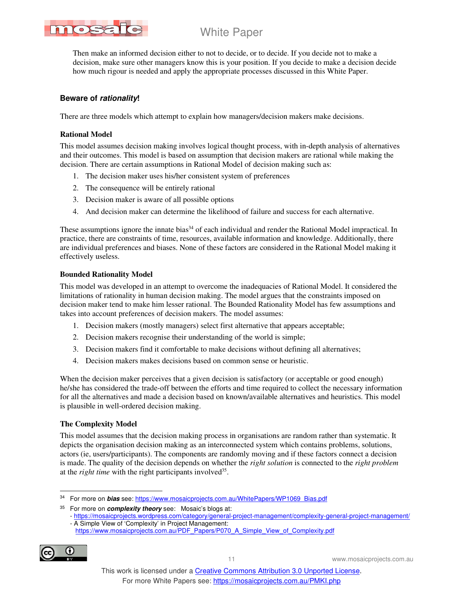

 Then make an informed decision either to not to decide, or to decide. If you decide not to make a decision, make sure other managers know this is your position. If you decide to make a decision decide how much rigour is needed and apply the appropriate processes discussed in this White Paper.

### **Beware of rationality!**

There are three models which attempt to explain how managers/decision makers make decisions.

#### **Rational Model**

This model assumes decision making involves logical thought process, with in-depth analysis of alternatives and their outcomes. This model is based on assumption that decision makers are rational while making the decision. There are certain assumptions in Rational Model of decision making such as:

- 1. The decision maker uses his/her consistent system of preferences
- 2. The consequence will be entirely rational
- 3. Decision maker is aware of all possible options
- 4. And decision maker can determine the likelihood of failure and success for each alternative.

These assumptions ignore the innate bias<sup>34</sup> of each individual and render the Rational Model impractical. In practice, there are constraints of time, resources, available information and knowledge. Additionally, there are individual preferences and biases. None of these factors are considered in the Rational Model making it effectively useless.

#### **Bounded Rationality Model**

This model was developed in an attempt to overcome the inadequacies of Rational Model. It considered the limitations of rationality in human decision making. The model argues that the constraints imposed on decision maker tend to make him lesser rational. The Bounded Rationality Model has few assumptions and takes into account preferences of decision makers. The model assumes:

- 1. Decision makers (mostly managers) select first alternative that appears acceptable;
- 2. Decision makers recognise their understanding of the world is simple;
- 3. Decision makers find it comfortable to make decisions without defining all alternatives;
- 4. Decision makers makes decisions based on common sense or heuristic.

When the decision maker perceives that a given decision is satisfactory (or acceptable or good enough) he/she has considered the trade-off between the efforts and time required to collect the necessary information for all the alternatives and made a decision based on known/available alternatives and heuristics. This model is plausible in well-ordered decision making.

### **The Complexity Model**

This model assumes that the decision making process in organisations are random rather than systematic. It depicts the organisation decision making as an interconnected system which contains problems, solutions, actors (ie, users/participants). The components are randomly moving and if these factors connect a decision is made. The quality of the decision depends on whether the *right solution* is connected to the *right problem* at the *right time* with the right participants involved<sup>35</sup>.

https://www.mosaicprojects.com.au/PDF\_Papers/P070\_A\_Simple\_View\_of\_Complexity.pdf



<sup>34</sup> For more on **bias** see: https://www.mosaicprojects.com.au/WhitePapers/WP1069\_Bias.pdf

<sup>35</sup> For more on **complexity theory** see: Mosaic's blogs at:

<sup>-</sup> https://mosaicprojects.wordpress.com/category/general-project-management/complexity-general-project-management/ - A Simple View of 'Complexity' in Project Management: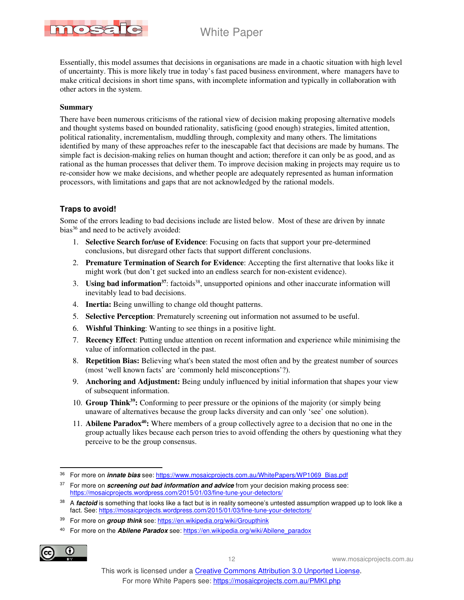

Essentially, this model assumes that decisions in organisations are made in a chaotic situation with high level of uncertainty. This is more likely true in today's fast paced business environment, where managers have to make critical decisions in short time spans, with incomplete information and typically in collaboration with other actors in the system.

#### **Summary**

There have been numerous criticisms of the rational view of decision making proposing alternative models and thought systems based on bounded rationality, satisficing (good enough) strategies, limited attention, political rationality, incrementalism, muddling through, complexity and many others. The limitations identified by many of these approaches refer to the inescapable fact that decisions are made by humans. The simple fact is decision-making relies on human thought and action; therefore it can only be as good, and as rational as the human processes that deliver them. To improve decision making in projects may require us to re-consider how we make decisions, and whether people are adequately represented as human information processors, with limitations and gaps that are not acknowledged by the rational models.

### **Traps to avoid!**

Some of the errors leading to bad decisions include are listed below. Most of these are driven by innate bias<sup>36</sup> and need to be actively avoided:

- 1. **Selective Search for/use of Evidence**: Focusing on facts that support your pre-determined conclusions, but disregard other facts that support different conclusions.
- 2. **Premature Termination of Search for Evidence**: Accepting the first alternative that looks like it might work (but don't get sucked into an endless search for non-existent evidence).
- 3. **Using bad information**<sup>37</sup>: factoids<sup>38</sup>, unsupported opinions and other inaccurate information will inevitably lead to bad decisions.
- 4. **Inertia:** Being unwilling to change old thought patterns.
- 5. **Selective Perception**: Prematurely screening out information not assumed to be useful.
- 6. **Wishful Thinking**: Wanting to see things in a positive light.
- 7. **Recency Effect**: Putting undue attention on recent information and experience while minimising the value of information collected in the past.
- 8. **Repetition Bias:** Believing what's been stated the most often and by the greatest number of sources (most 'well known facts' are 'commonly held misconceptions'?).
- 9. **Anchoring and Adjustment:** Being unduly influenced by initial information that shapes your view of subsequent information.
- 10. **Group Think<sup>39</sup>:** Conforming to peer pressure or the opinions of the majority (or simply being unaware of alternatives because the group lacks diversity and can only 'see' one solution).
- 11. **Abilene Paradox<sup>40</sup>:** Where members of a group collectively agree to a decision that no one in the group actually likes because each person tries to avoid offending the others by questioning what they perceive to be the group consensus.

<sup>40</sup> For more on the **Abilene Paradox** see: https://en.wikipedia.org/wiki/Abilene\_paradox



<sup>36</sup> For more on **innate bias** see: https://www.mosaicprojects.com.au/WhitePapers/WP1069\_Bias.pdf

<sup>&</sup>lt;sup>37</sup> For more on **screening out bad information and advice** from your decision making process see: https://mosaicprojects.wordpress.com/2015/01/03/fine-tune-your-detectors/

<sup>&</sup>lt;sup>38</sup> A *factoid* is something that looks like a fact but is in reality someone's untested assumption wrapped up to look like a fact. See: https://mosaicprojects.wordpress.com/2015/01/03/fine-tune-your-detectors/

<sup>39</sup> For more on **group think** see: https://en.wikipedia.org/wiki/Groupthink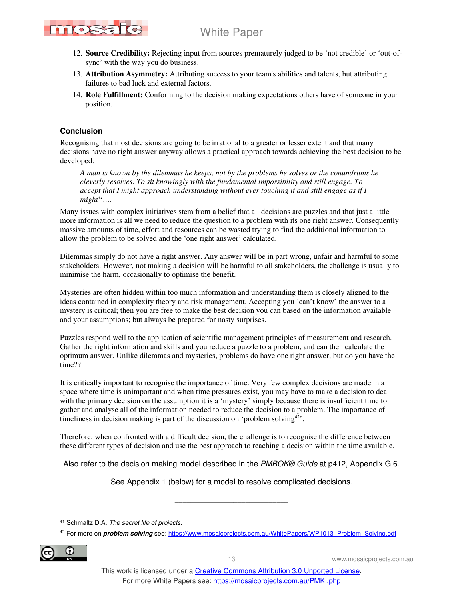

- 12. **Source Credibility:** Rejecting input from sources prematurely judged to be 'not credible' or 'out-ofsync' with the way you do business.
- 13. **Attribution Asymmetry:** Attributing success to your team's abilities and talents, but attributing failures to bad luck and external factors.
- 14. **Role Fulfillment:** Conforming to the decision making expectations others have of someone in your position.

### **Conclusion**

Recognising that most decisions are going to be irrational to a greater or lesser extent and that many decisions have no right answer anyway allows a practical approach towards achieving the best decision to be developed:

*A man is known by the dilemmas he keeps, not by the problems he solves or the conundrums he cleverly resolves. To sit knowingly with the fundamental impossibility and still engage. To accept that I might approach understanding without ever touching it and still engage as if I*   $might^{41}$ …

Many issues with complex initiatives stem from a belief that all decisions are puzzles and that just a little more information is all we need to reduce the question to a problem with its one right answer. Consequently massive amounts of time, effort and resources can be wasted trying to find the additional information to allow the problem to be solved and the 'one right answer' calculated.

Dilemmas simply do not have a right answer. Any answer will be in part wrong, unfair and harmful to some stakeholders. However, not making a decision will be harmful to all stakeholders, the challenge is usually to minimise the harm, occasionally to optimise the benefit.

Mysteries are often hidden within too much information and understanding them is closely aligned to the ideas contained in complexity theory and risk management. Accepting you 'can't know' the answer to a mystery is critical; then you are free to make the best decision you can based on the information available and your assumptions; but always be prepared for nasty surprises.

Puzzles respond well to the application of scientific management principles of measurement and research. Gather the right information and skills and you reduce a puzzle to a problem, and can then calculate the optimum answer. Unlike dilemmas and mysteries, problems do have one right answer, but do you have the time??

It is critically important to recognise the importance of time. Very few complex decisions are made in a space where time is unimportant and when time pressures exist, you may have to make a decision to deal with the primary decision on the assumption it is a 'mystery' simply because there is insufficient time to gather and analyse all of the information needed to reduce the decision to a problem. The importance of timeliness in decision making is part of the discussion on 'problem solving $42$ <sup>2</sup>.

Therefore, when confronted with a difficult decision, the challenge is to recognise the difference between these different types of decision and use the best approach to reaching a decision within the time available.

Also refer to the decision making model described in the PMBOK® Guide at p412, Appendix G.6.

See Appendix 1 (below) for a model to resolve complicated decisions.

\_\_\_\_\_\_\_\_\_\_\_\_\_\_\_\_\_\_\_\_\_\_\_\_\_\_\_\_\_

<sup>42</sup> For more on **problem solving** see: https://www.mosaicprojects.com.au/WhitePapers/WP1013\_Problem\_Solving.pdf



<sup>41</sup> Schmaltz D.A. The secret life of projects.